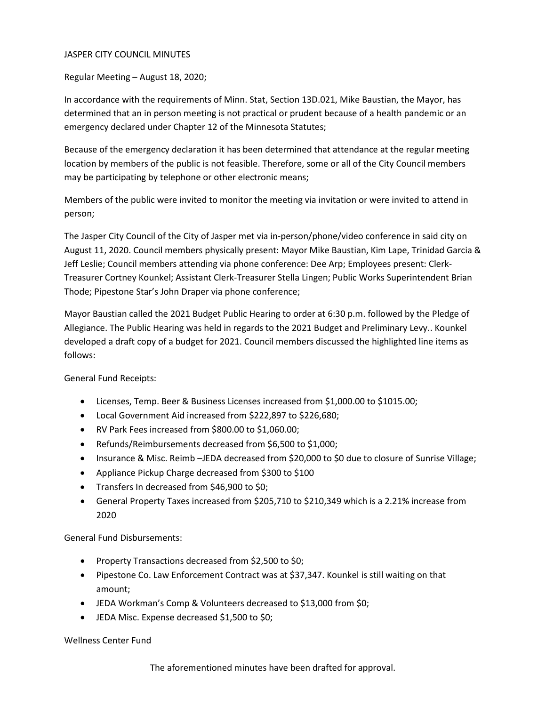## JASPER CITY COUNCIL MINUTES

Regular Meeting – August 18, 2020;

In accordance with the requirements of Minn. Stat, Section 13D.021, Mike Baustian, the Mayor, has determined that an in person meeting is not practical or prudent because of a health pandemic or an emergency declared under Chapter 12 of the Minnesota Statutes;

Because of the emergency declaration it has been determined that attendance at the regular meeting location by members of the public is not feasible. Therefore, some or all of the City Council members may be participating by telephone or other electronic means;

Members of the public were invited to monitor the meeting via invitation or were invited to attend in person;

The Jasper City Council of the City of Jasper met via in-person/phone/video conference in said city on August 11, 2020. Council members physically present: Mayor Mike Baustian, Kim Lape, Trinidad Garcia & Jeff Leslie; Council members attending via phone conference: Dee Arp; Employees present: Clerk-Treasurer Cortney Kounkel; Assistant Clerk-Treasurer Stella Lingen; Public Works Superintendent Brian Thode; Pipestone Star's John Draper via phone conference;

Mayor Baustian called the 2021 Budget Public Hearing to order at 6:30 p.m. followed by the Pledge of Allegiance. The Public Hearing was held in regards to the 2021 Budget and Preliminary Levy.. Kounkel developed a draft copy of a budget for 2021. Council members discussed the highlighted line items as follows:

General Fund Receipts:

- Licenses, Temp. Beer & Business Licenses increased from \$1,000.00 to \$1015.00;
- Local Government Aid increased from \$222,897 to \$226,680;
- RV Park Fees increased from \$800.00 to \$1,060.00;
- Refunds/Reimbursements decreased from \$6,500 to \$1,000;
- Insurance & Misc. Reimb –JEDA decreased from \$20,000 to \$0 due to closure of Sunrise Village;
- Appliance Pickup Charge decreased from \$300 to \$100
- Transfers In decreased from \$46,900 to \$0;
- General Property Taxes increased from \$205,710 to \$210,349 which is a 2.21% increase from 2020

General Fund Disbursements:

- Property Transactions decreased from \$2,500 to \$0;
- Pipestone Co. Law Enforcement Contract was at \$37,347. Kounkel is still waiting on that amount;
- JEDA Workman's Comp & Volunteers decreased to \$13,000 from \$0;
- JEDA Misc. Expense decreased \$1,500 to \$0;

## Wellness Center Fund

The aforementioned minutes have been drafted for approval.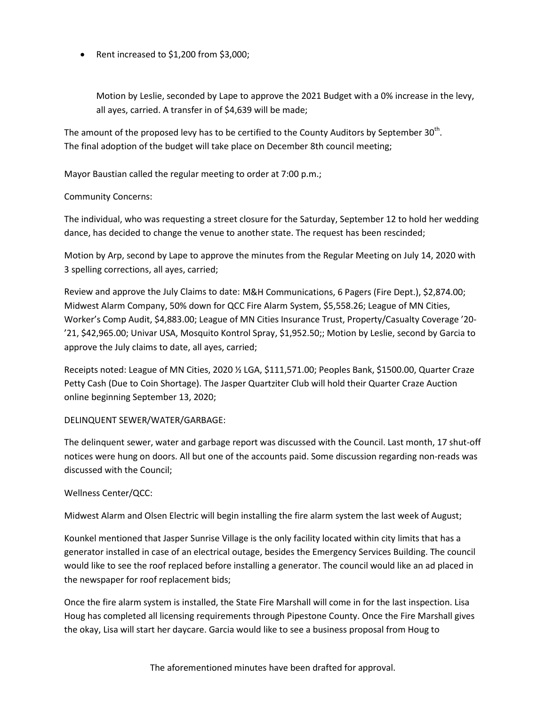• Rent increased to \$1,200 from \$3,000;

Motion by Leslie, seconded by Lape to approve the 2021 Budget with a 0% increase in the levy, all ayes, carried. A transfer in of \$4,639 will be made;

The amount of the proposed levy has to be certified to the County Auditors by September 30<sup>th</sup>. The final adoption of the budget will take place on December 8th council meeting;

Mayor Baustian called the regular meeting to order at 7:00 p.m.;

## Community Concerns:

The individual, who was requesting a street closure for the Saturday, September 12 to hold her wedding dance, has decided to change the venue to another state. The request has been rescinded;

Motion by Arp, second by Lape to approve the minutes from the Regular Meeting on July 14, 2020 with 3 spelling corrections, all ayes, carried;

Review and approve the July Claims to date: M&H Communications, 6 Pagers (Fire Dept.), \$2,874.00; Midwest Alarm Company, 50% down for QCC Fire Alarm System, \$5,558.26; League of MN Cities, Worker's Comp Audit, \$4,883.00; League of MN Cities Insurance Trust, Property/Casualty Coverage '20- '21, \$42,965.00; Univar USA, Mosquito Kontrol Spray, \$1,952.50;; Motion by Leslie, second by Garcia to approve the July claims to date, all ayes, carried;

Receipts noted: League of MN Cities, 2020 ½ LGA, \$111,571.00; Peoples Bank, \$1500.00, Quarter Craze Petty Cash (Due to Coin Shortage). The Jasper Quartziter Club will hold their Quarter Craze Auction online beginning September 13, 2020;

#### DELINQUENT SEWER/WATER/GARBAGE:

The delinquent sewer, water and garbage report was discussed with the Council. Last month, 17 shut-off notices were hung on doors. All but one of the accounts paid. Some discussion regarding non-reads was discussed with the Council;

#### Wellness Center/QCC:

Midwest Alarm and Olsen Electric will begin installing the fire alarm system the last week of August;

Kounkel mentioned that Jasper Sunrise Village is the only facility located within city limits that has a generator installed in case of an electrical outage, besides the Emergency Services Building. The council would like to see the roof replaced before installing a generator. The council would like an ad placed in the newspaper for roof replacement bids;

Once the fire alarm system is installed, the State Fire Marshall will come in for the last inspection. Lisa Houg has completed all licensing requirements through Pipestone County. Once the Fire Marshall gives the okay, Lisa will start her daycare. Garcia would like to see a business proposal from Houg to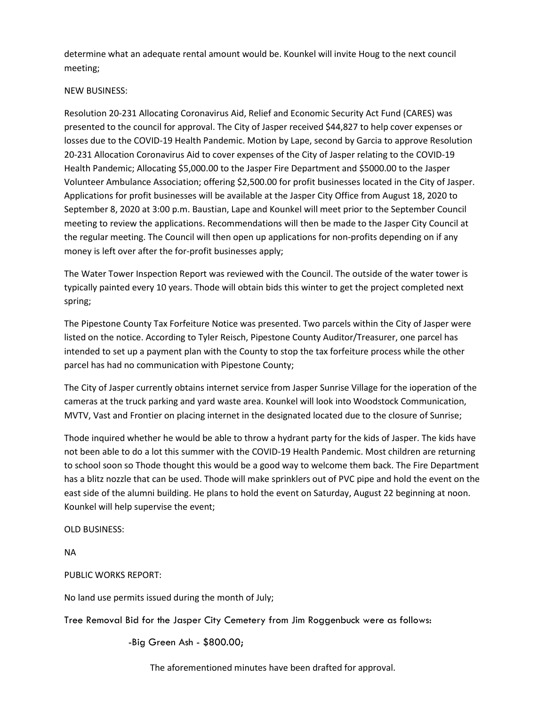determine what an adequate rental amount would be. Kounkel will invite Houg to the next council meeting;

# NEW BUSINESS:

Resolution 20-231 Allocating Coronavirus Aid, Relief and Economic Security Act Fund (CARES) was presented to the council for approval. The City of Jasper received \$44,827 to help cover expenses or losses due to the COVID-19 Health Pandemic. Motion by Lape, second by Garcia to approve Resolution 20-231 Allocation Coronavirus Aid to cover expenses of the City of Jasper relating to the COVID-19 Health Pandemic; Allocating \$5,000.00 to the Jasper Fire Department and \$5000.00 to the Jasper Volunteer Ambulance Association; offering \$2,500.00 for profit businesses located in the City of Jasper. Applications for profit businesses will be available at the Jasper City Office from August 18, 2020 to September 8, 2020 at 3:00 p.m. Baustian, Lape and Kounkel will meet prior to the September Council meeting to review the applications. Recommendations will then be made to the Jasper City Council at the regular meeting. The Council will then open up applications for non-profits depending on if any money is left over after the for-profit businesses apply;

The Water Tower Inspection Report was reviewed with the Council. The outside of the water tower is typically painted every 10 years. Thode will obtain bids this winter to get the project completed next spring;

The Pipestone County Tax Forfeiture Notice was presented. Two parcels within the City of Jasper were listed on the notice. According to Tyler Reisch, Pipestone County Auditor/Treasurer, one parcel has intended to set up a payment plan with the County to stop the tax forfeiture process while the other parcel has had no communication with Pipestone County;

The City of Jasper currently obtains internet service from Jasper Sunrise Village for the ioperation of the cameras at the truck parking and yard waste area. Kounkel will look into Woodstock Communication, MVTV, Vast and Frontier on placing internet in the designated located due to the closure of Sunrise;

Thode inquired whether he would be able to throw a hydrant party for the kids of Jasper. The kids have not been able to do a lot this summer with the COVID-19 Health Pandemic. Most children are returning to school soon so Thode thought this would be a good way to welcome them back. The Fire Department has a blitz nozzle that can be used. Thode will make sprinklers out of PVC pipe and hold the event on the east side of the alumni building. He plans to hold the event on Saturday, August 22 beginning at noon. Kounkel will help supervise the event;

OLD BUSINESS:

NA

PUBLIC WORKS REPORT:

No land use permits issued during the month of July;

Tree Removal Bid for the Jasper City Cemetery from Jim Roggenbuck were as follows:

-Big Green Ash - \$800.00;

The aforementioned minutes have been drafted for approval.